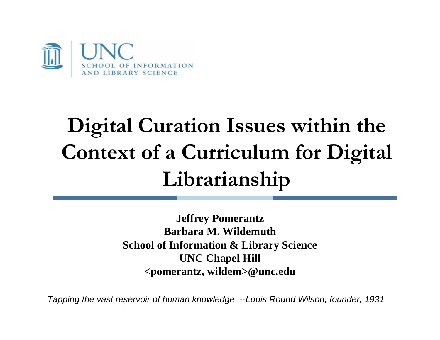

# **Digital Curation Issues within the Context of a Curriculum for Digital Librarianship**

**Jeffrey Pomerantz Barbara M. WildemuthSchool of Information & Library Science UNC Chapel Hill <pomerantz, wildem>@unc.edu**

*Tapping the vast reservoir of human knowledge --Louis Round Wilson, founder, 1931*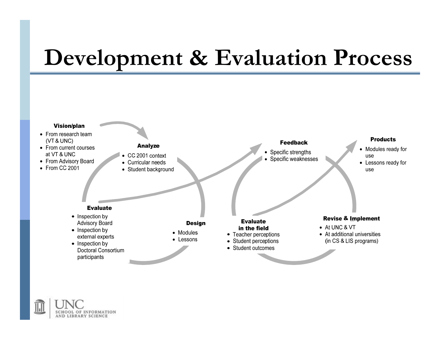### **Development & Evaluation Process**



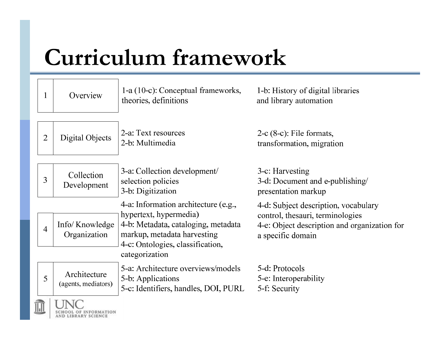# **Curriculum framework**

| $\mathbf{1}$   | Overview                            | 1-a (10-c): Conceptual frameworks,<br>theories, definitions                                                                                                              | 1-b: History of digital libraries<br>and library automation                                                                                   |
|----------------|-------------------------------------|--------------------------------------------------------------------------------------------------------------------------------------------------------------------------|-----------------------------------------------------------------------------------------------------------------------------------------------|
| $\overline{2}$ | Digital Objects                     | 2-a: Text resources<br>2-b: Multimedia                                                                                                                                   | $2-c$ (8-c): File formats,<br>transformation, migration                                                                                       |
| 3              | Collection<br>Development           | 3-a: Collection development/<br>selection policies<br>3-b: Digitization                                                                                                  | 3-c: Harvesting<br>3-d: Document and e-publishing/<br>presentation markup                                                                     |
| $\overline{4}$ | Info/Knowledge<br>Organization      | 4-a: Information architecture (e.g.,<br>hypertext, hypermedia)<br>4-b: Metadata, cataloging, metadata<br>markup, metadata harvesting<br>4-c: Ontologies, classification, | 4-d: Subject description, vocabulary<br>control, thesauri, terminologies<br>4-e: Object description and organization for<br>a specific domain |
| 5              | Architecture<br>(agents, mediators) | categorization<br>5-a: Architecture overviews/models<br>5-b: Applications<br>5-c: Identifiers, handles, DOI, PURL                                                        | 5-d: Protocols<br>5-e: Interoperability<br>5-f: Security                                                                                      |
|                |                                     |                                                                                                                                                                          |                                                                                                                                               |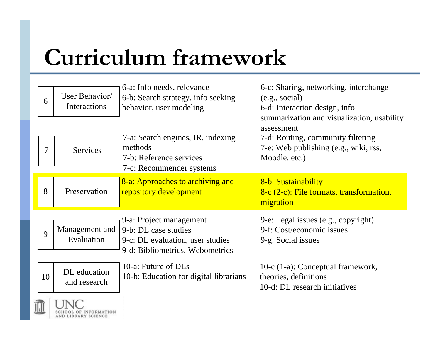# **Curriculum framework**

 $\frac{1}{2}$ 

SCHOOL OF INFORMATION AND LIBRARY SCIENCE

| 6  | User Behavior/<br><b>Interactions</b>   | 6-a: Info needs, relevance<br>6-b: Search strategy, info seeking<br>behavior, user modeling                            | 6-c: Sharing, networking, interchange<br>(e.g., social)<br>6-d: Interaction design, info                                                                |
|----|-----------------------------------------|------------------------------------------------------------------------------------------------------------------------|---------------------------------------------------------------------------------------------------------------------------------------------------------|
| 7  | <b>Services</b>                         | 7-a: Search engines, IR, indexing<br>methods<br>7-b: Reference services<br>7-c: Recommender systems                    | summarization and visualization, usability<br>assessment<br>7-d: Routing, community filtering<br>7-e: Web publishing (e.g., wiki, rss,<br>Moodle, etc.) |
| 8  | Preservation                            | 8-a: Approaches to archiving and<br>repository development                                                             | 8-b: Sustainability<br>8-c (2-c): File formats, transformation,<br>migration                                                                            |
| 9  | Management and<br>Evaluation            | 9-a: Project management<br>9-b: DL case studies<br>9-c: DL evaluation, user studies<br>9-d: Bibliometrics, Webometrics | 9-e: Legal issues (e.g., copyright)<br>9-f: Cost/economic issues<br>9-g: Social issues                                                                  |
| 10 | DL education<br>and research<br>T T T T | 10-a: Future of DLs<br>10-b: Education for digital librarians                                                          | 10-c (1-a): Conceptual framework,<br>theories, definitions<br>10-d: DL research initiatives                                                             |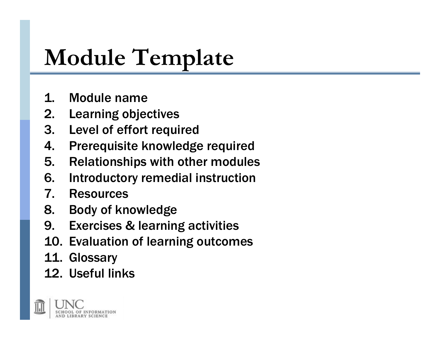# **Module Template**

- 1. Module name
- 2. Learning objectives
- 3. Level of effort required
- 4. Prerequisite knowledge required
- 5. Relationships with other modules
- 6. Introductory remedial instruction
- 7. Resources
- 8. Body of knowledge
- 9. Exercises & learning activities
- 10. Evaluation of learning outcomes
- 11. Glossary
- 12. Useful links

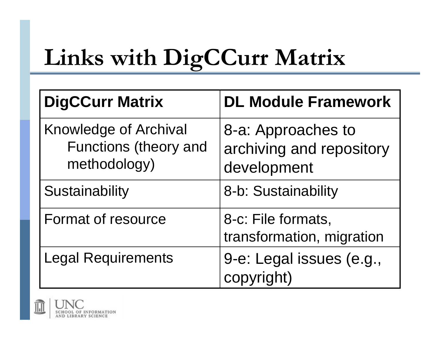# **Links with DigCCurr Matrix**

| <b>DigCCurr Matrix</b>                                                | <b>DL Module Framework</b>                                    |
|-----------------------------------------------------------------------|---------------------------------------------------------------|
| <b>Knowledge of Archival</b><br>Functions (theory and<br>methodology) | 8-a: Approaches to<br>archiving and repository<br>development |
| Sustainability                                                        | 8-b: Sustainability                                           |
| <b>Format of resource</b>                                             | 8-c: File formats,<br>transformation, migration               |
| Legal Requirements                                                    | 9-e: Legal issues (e.g.,<br>copyright)                        |